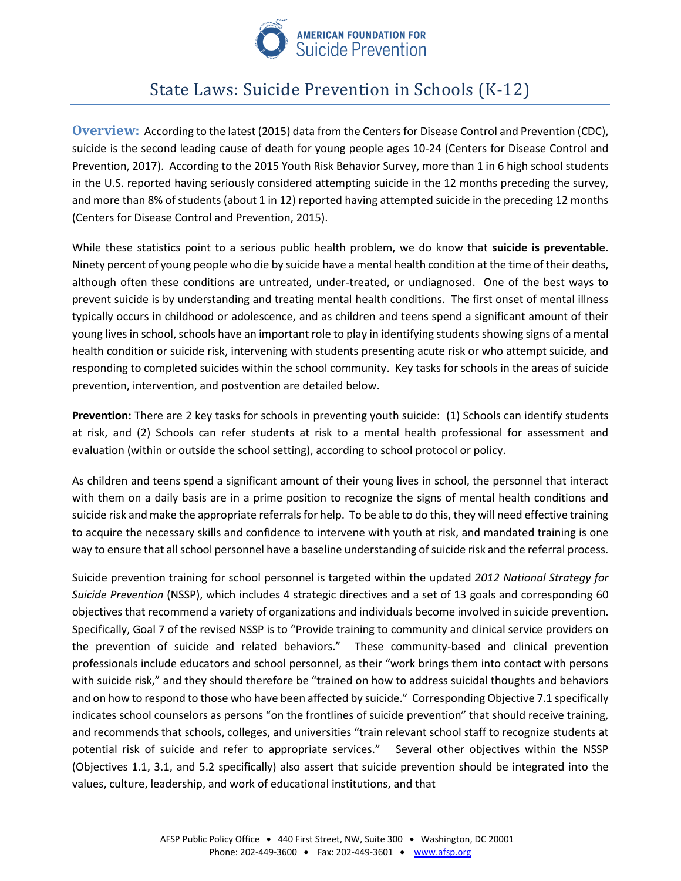

# State Laws: Suicide Prevention in Schools (K-12)

**Overview:** According to the latest (2015) data from the Centers for Disease Control and Prevention (CDC), suicide is the second leading cause of death for young people ages 10-24 (Centers for Disease Control and Prevention, 2017). According to the 2015 Youth Risk Behavior Survey, more than 1 in 6 high school students in the U.S. reported having seriously considered attempting suicide in the 12 months preceding the survey, and more than 8% of students (about 1 in 12) reported having attempted suicide in the preceding 12 months (Centers for Disease Control and Prevention, 2015).

While these statistics point to a serious public health problem, we do know that **suicide is preventable**. Ninety percent of young people who die by suicide have a mental health condition at the time of their deaths, although often these conditions are untreated, under-treated, or undiagnosed. One of the best ways to prevent suicide is by understanding and treating mental health conditions. The first onset of mental illness typically occurs in childhood or adolescence, and as children and teens spend a significant amount of their young lives in school, schools have an important role to play in identifying students showing signs of a mental health condition or suicide risk, intervening with students presenting acute risk or who attempt suicide, and responding to completed suicides within the school community. Key tasks for schools in the areas of suicide prevention, intervention, and postvention are detailed below.

**Prevention:** There are 2 key tasks for schools in preventing youth suicide: (1) Schools can identify students at risk, and (2) Schools can refer students at risk to a mental health professional for assessment and evaluation (within or outside the school setting), according to school protocol or policy.

As children and teens spend a significant amount of their young lives in school, the personnel that interact with them on a daily basis are in a prime position to recognize the signs of mental health conditions and suicide risk and make the appropriate referrals for help. To be able to do this, they will need effective training to acquire the necessary skills and confidence to intervene with youth at risk, and mandated training is one way to ensure that all school personnel have a baseline understanding of suicide risk and the referral process.

Suicide prevention training for school personnel is targeted within the updated *2012 National Strategy for Suicide Prevention* (NSSP), which includes 4 strategic directives and a set of 13 goals and corresponding 60 objectives that recommend a variety of organizations and individuals become involved in suicide prevention. Specifically, Goal 7 of the revised NSSP is to "Provide training to community and clinical service providers on the prevention of suicide and related behaviors." These community-based and clinical prevention professionals include educators and school personnel, as their "work brings them into contact with persons with suicide risk," and they should therefore be "trained on how to address suicidal thoughts and behaviors and on how to respond to those who have been affected by suicide." Corresponding Objective 7.1 specifically indicates school counselors as persons "on the frontlines of suicide prevention" that should receive training, and recommends that schools, colleges, and universities "train relevant school staff to recognize students at potential risk of suicide and refer to appropriate services." Several other objectives within the NSSP (Objectives 1.1, 3.1, and 5.2 specifically) also assert that suicide prevention should be integrated into the values, culture, leadership, and work of educational institutions, and that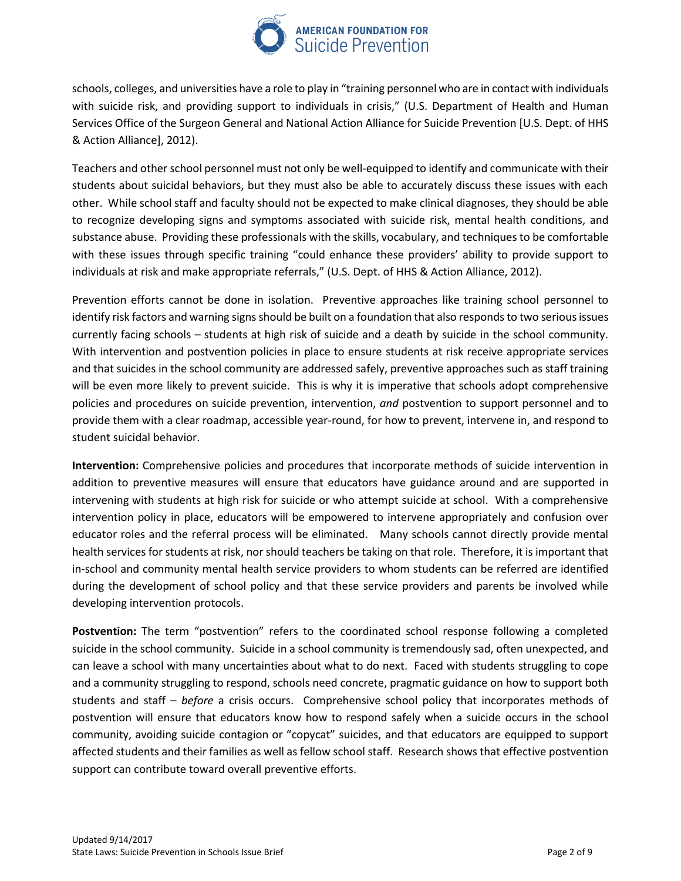

schools, colleges, and universities have a role to play in "training personnel who are in contact with individuals with suicide risk, and providing support to individuals in crisis," (U.S. Department of Health and Human Services Office of the Surgeon General and National Action Alliance for Suicide Prevention [U.S. Dept. of HHS & Action Alliance], 2012).

Teachers and other school personnel must not only be well-equipped to identify and communicate with their students about suicidal behaviors, but they must also be able to accurately discuss these issues with each other. While school staff and faculty should not be expected to make clinical diagnoses, they should be able to recognize developing signs and symptoms associated with suicide risk, mental health conditions, and substance abuse. Providing these professionals with the skills, vocabulary, and techniques to be comfortable with these issues through specific training "could enhance these providers' ability to provide support to individuals at risk and make appropriate referrals," (U.S. Dept. of HHS & Action Alliance, 2012).

Prevention efforts cannot be done in isolation. Preventive approaches like training school personnel to identify risk factors and warning signs should be built on a foundation that also responds to two serious issues currently facing schools – students at high risk of suicide and a death by suicide in the school community. With intervention and postvention policies in place to ensure students at risk receive appropriate services and that suicides in the school community are addressed safely, preventive approaches such as staff training will be even more likely to prevent suicide. This is why it is imperative that schools adopt comprehensive policies and procedures on suicide prevention, intervention, *and* postvention to support personnel and to provide them with a clear roadmap, accessible year-round, for how to prevent, intervene in, and respond to student suicidal behavior.

**Intervention:** Comprehensive policies and procedures that incorporate methods of suicide intervention in addition to preventive measures will ensure that educators have guidance around and are supported in intervening with students at high risk for suicide or who attempt suicide at school. With a comprehensive intervention policy in place, educators will be empowered to intervene appropriately and confusion over educator roles and the referral process will be eliminated. Many schools cannot directly provide mental health services for students at risk, nor should teachers be taking on that role. Therefore, it is important that in-school and community mental health service providers to whom students can be referred are identified during the development of school policy and that these service providers and parents be involved while developing intervention protocols.

**Postvention:** The term "postvention" refers to the coordinated school response following a completed suicide in the school community.Suicide in a school community is tremendously sad, often unexpected, and can leave a school with many uncertainties about what to do next. Faced with students struggling to cope and a community struggling to respond, schools need concrete, pragmatic guidance on how to support both students and staff – *before* a crisis occurs. Comprehensive school policy that incorporates methods of postvention will ensure that educators know how to respond safely when a suicide occurs in the school community, avoiding suicide contagion or "copycat" suicides, and that educators are equipped to support affected students and their families as well as fellow school staff. Research shows that effective postvention support can contribute toward overall preventive efforts.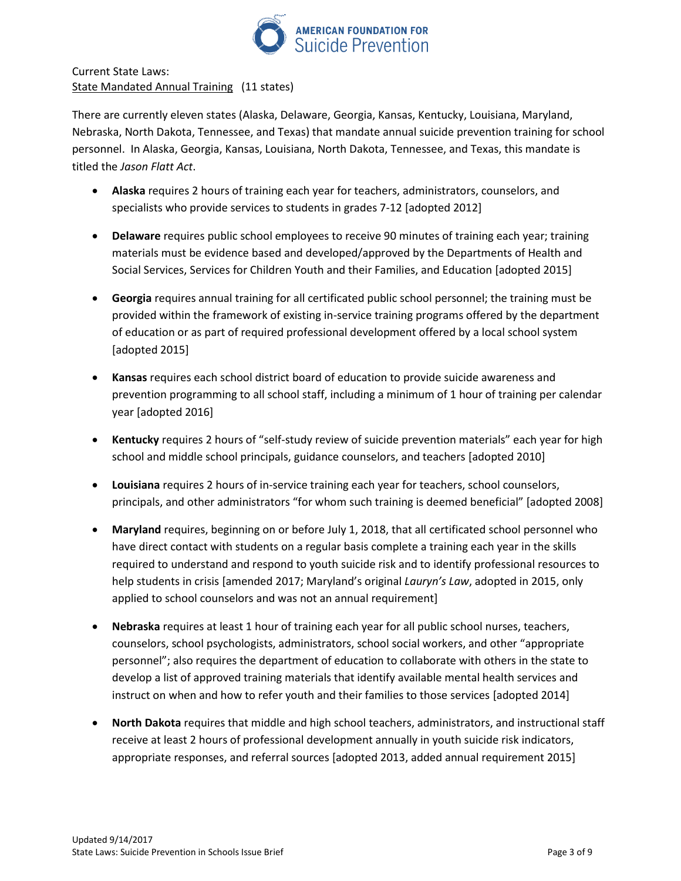

Current State Laws: State Mandated Annual Training (11 states)

There are currently eleven states (Alaska, Delaware, Georgia, Kansas, Kentucky, Louisiana, Maryland, Nebraska, North Dakota, Tennessee, and Texas) that mandate annual suicide prevention training for school personnel. In Alaska, Georgia, Kansas, Louisiana, North Dakota, Tennessee, and Texas, this mandate is titled the *Jason Flatt Act*.

- **Alaska** requires 2 hours of training each year for teachers, administrators, counselors, and specialists who provide services to students in grades 7-12 [adopted 2012]
- **Delaware** requires public school employees to receive 90 minutes of training each year; training materials must be evidence based and developed/approved by the Departments of Health and Social Services, Services for Children Youth and their Families, and Education [adopted 2015]
- **Georgia** requires annual training for all certificated public school personnel; the training must be provided within the framework of existing in-service training programs offered by the department of education or as part of required professional development offered by a local school system [adopted 2015]
- **Kansas** requires each school district board of education to provide suicide awareness and prevention programming to all school staff, including a minimum of 1 hour of training per calendar year [adopted 2016]
- **Kentucky** requires 2 hours of "self-study review of suicide prevention materials" each year for high school and middle school principals, guidance counselors, and teachers [adopted 2010]
- **Louisiana** requires 2 hours of in-service training each year for teachers, school counselors, principals, and other administrators "for whom such training is deemed beneficial" [adopted 2008]
- **Maryland** requires, beginning on or before July 1, 2018, that all certificated school personnel who have direct contact with students on a regular basis complete a training each year in the skills required to understand and respond to youth suicide risk and to identify professional resources to help students in crisis [amended 2017; Maryland's original *Lauryn's Law*, adopted in 2015, only applied to school counselors and was not an annual requirement]
- **Nebraska** requires at least 1 hour of training each year for all public school nurses, teachers, counselors, school psychologists, administrators, school social workers, and other "appropriate personnel"; also requires the department of education to collaborate with others in the state to develop a list of approved training materials that identify available mental health services and instruct on when and how to refer youth and their families to those services [adopted 2014]
- **North Dakota** requires that middle and high school teachers, administrators, and instructional staff receive at least 2 hours of professional development annually in youth suicide risk indicators, appropriate responses, and referral sources [adopted 2013, added annual requirement 2015]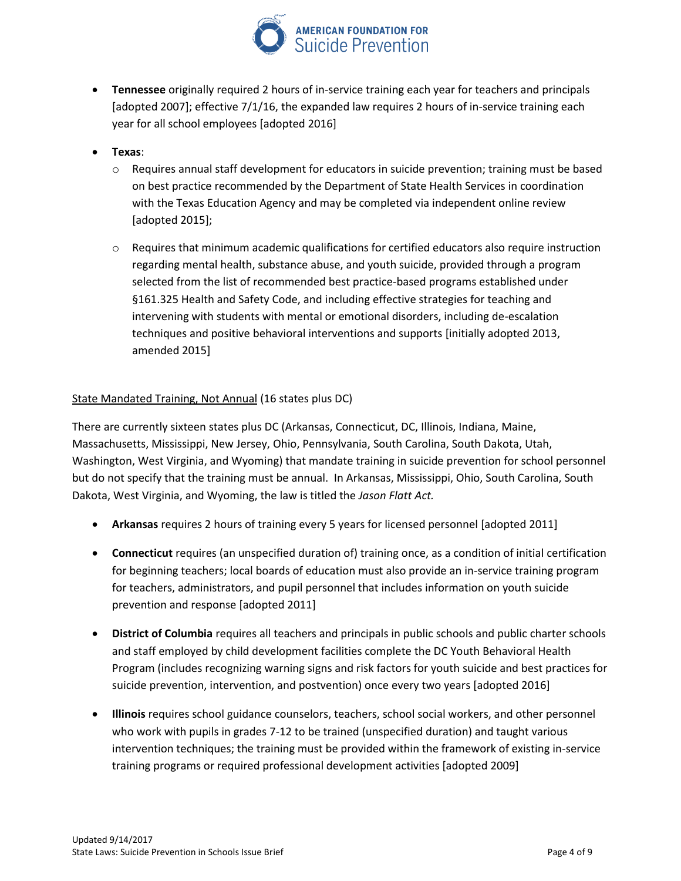

- **Tennessee** originally required 2 hours of in-service training each year for teachers and principals [adopted 2007]; effective 7/1/16, the expanded law requires 2 hours of in-service training each year for all school employees [adopted 2016]
- **Texas**:
	- o Requires annual staff development for educators in suicide prevention; training must be based on best practice recommended by the Department of State Health Services in coordination with the Texas Education Agency and may be completed via independent online review [adopted 2015];
	- o Requires that minimum academic qualifications for certified educators also require instruction regarding mental health, substance abuse, and youth suicide, provided through a program selected from the list of recommended best practice-based programs established under §161.325 Health and Safety Code, and including effective strategies for teaching and intervening with students with mental or emotional disorders, including de-escalation techniques and positive behavioral interventions and supports [initially adopted 2013, amended 2015]

#### State Mandated Training, Not Annual (16 states plus DC)

There are currently sixteen states plus DC (Arkansas, Connecticut, DC, Illinois, Indiana, Maine, Massachusetts, Mississippi, New Jersey, Ohio, Pennsylvania, South Carolina, South Dakota, Utah, Washington, West Virginia, and Wyoming) that mandate training in suicide prevention for school personnel but do not specify that the training must be annual. In Arkansas, Mississippi, Ohio, South Carolina, South Dakota, West Virginia, and Wyoming, the law is titled the *Jason Flatt Act.*

- **Arkansas** requires 2 hours of training every 5 years for licensed personnel [adopted 2011]
- **Connecticut** requires (an unspecified duration of) training once, as a condition of initial certification for beginning teachers; local boards of education must also provide an in-service training program for teachers, administrators, and pupil personnel that includes information on youth suicide prevention and response [adopted 2011]
- **District of Columbia** requires all teachers and principals in public schools and public charter schools and staff employed by child development facilities complete the DC Youth Behavioral Health Program (includes recognizing warning signs and risk factors for youth suicide and best practices for suicide prevention, intervention, and postvention) once every two years [adopted 2016]
- **Illinois** requires school guidance counselors, teachers, school social workers, and other personnel who work with pupils in grades 7-12 to be trained (unspecified duration) and taught various intervention techniques; the training must be provided within the framework of existing in-service training programs or required professional development activities [adopted 2009]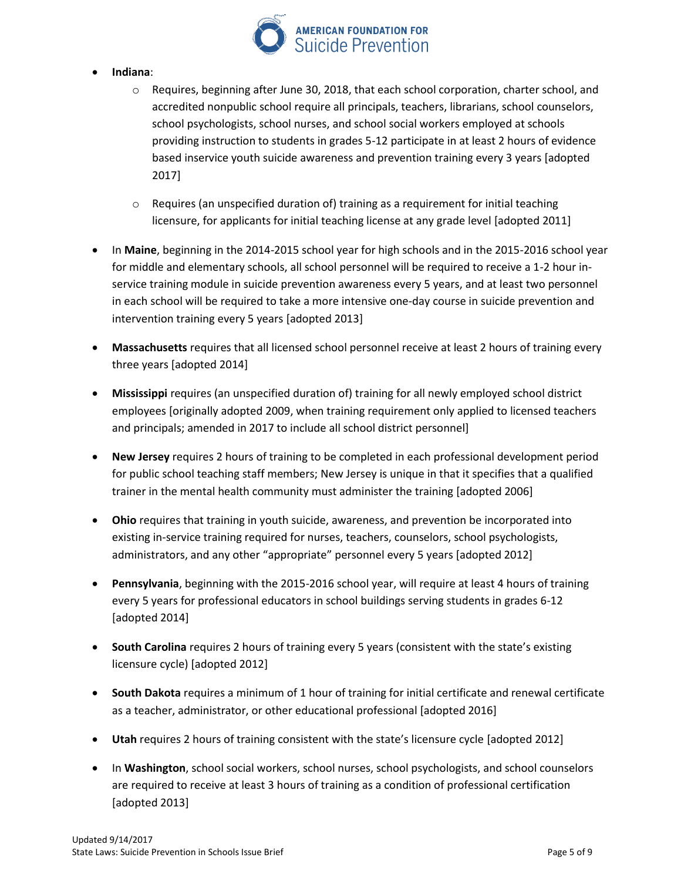

#### **Indiana**:

- o Requires, beginning after June 30, 2018, that each school corporation, charter school, and accredited nonpublic school require all principals, teachers, librarians, school counselors, school psychologists, school nurses, and school social workers employed at schools providing instruction to students in grades 5-12 participate in at least 2 hours of evidence based inservice youth suicide awareness and prevention training every 3 years [adopted 2017]
- $\circ$  Requires (an unspecified duration of) training as a requirement for initial teaching licensure, for applicants for initial teaching license at any grade level [adopted 2011]
- In **Maine**, beginning in the 2014-2015 school year for high schools and in the 2015-2016 school year for middle and elementary schools, all school personnel will be required to receive a 1-2 hour inservice training module in suicide prevention awareness every 5 years, and at least two personnel in each school will be required to take a more intensive one-day course in suicide prevention and intervention training every 5 years [adopted 2013]
- **Massachusetts** requires that all licensed school personnel receive at least 2 hours of training every three years [adopted 2014]
- **Mississippi** requires (an unspecified duration of) training for all newly employed school district employees [originally adopted 2009, when training requirement only applied to licensed teachers and principals; amended in 2017 to include all school district personnel]
- **New Jersey** requires 2 hours of training to be completed in each professional development period for public school teaching staff members; New Jersey is unique in that it specifies that a qualified trainer in the mental health community must administer the training [adopted 2006]
- **Ohio** requires that training in youth suicide, awareness, and prevention be incorporated into existing in-service training required for nurses, teachers, counselors, school psychologists, administrators, and any other "appropriate" personnel every 5 years [adopted 2012]
- **Pennsylvania**, beginning with the 2015-2016 school year, will require at least 4 hours of training every 5 years for professional educators in school buildings serving students in grades 6-12 [adopted 2014]
- **South Carolina** requires 2 hours of training every 5 years (consistent with the state's existing licensure cycle) [adopted 2012]
- **South Dakota** requires a minimum of 1 hour of training for initial certificate and renewal certificate as a teacher, administrator, or other educational professional [adopted 2016]
- **Utah** requires 2 hours of training consistent with the state's licensure cycle [adopted 2012]
- In **Washington**, school social workers, school nurses, school psychologists, and school counselors are required to receive at least 3 hours of training as a condition of professional certification [adopted 2013]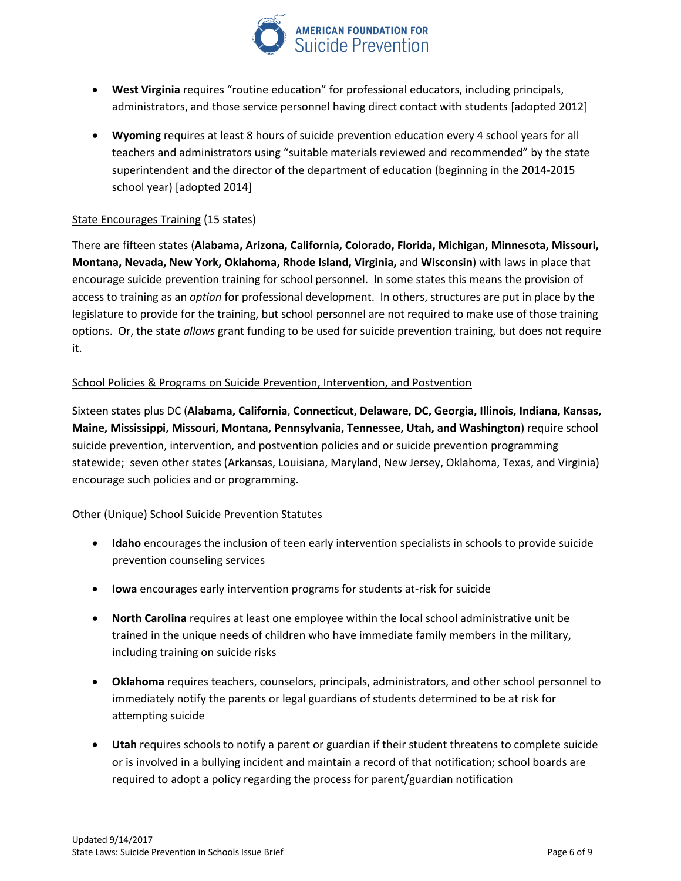

- **West Virginia** requires "routine education" for professional educators, including principals, administrators, and those service personnel having direct contact with students [adopted 2012]
- **Wyoming** requires at least 8 hours of suicide prevention education every 4 school years for all teachers and administrators using "suitable materials reviewed and recommended" by the state superintendent and the director of the department of education (beginning in the 2014-2015 school year) [adopted 2014]

#### State Encourages Training (15 states)

There are fifteen states (**Alabama, Arizona, California, Colorado, Florida, Michigan, Minnesota, Missouri, Montana, Nevada, New York, Oklahoma, Rhode Island, Virginia,** and **Wisconsin**) with laws in place that encourage suicide prevention training for school personnel. In some states this means the provision of access to training as an *option* for professional development. In others, structures are put in place by the legislature to provide for the training, but school personnel are not required to make use of those training options. Or, the state *allows* grant funding to be used for suicide prevention training, but does not require it.

#### School Policies & Programs on Suicide Prevention, Intervention, and Postvention

Sixteen states plus DC (**Alabama, California**, **Connecticut, Delaware, DC, Georgia, Illinois, Indiana, Kansas, Maine, Mississippi, Missouri, Montana, Pennsylvania, Tennessee, Utah, and Washington**) require school suicide prevention, intervention, and postvention policies and or suicide prevention programming statewide; seven other states (Arkansas, Louisiana, Maryland, New Jersey, Oklahoma, Texas, and Virginia) encourage such policies and or programming.

#### Other (Unique) School Suicide Prevention Statutes

- **Idaho** encourages the inclusion of teen early intervention specialists in schools to provide suicide prevention counseling services
- **Iowa** encourages early intervention programs for students at-risk for suicide
- **North Carolina** requires at least one employee within the local school administrative unit be trained in the unique needs of children who have immediate family members in the military, including training on suicide risks
- **Oklahoma** requires teachers, counselors, principals, administrators, and other school personnel to immediately notify the parents or legal guardians of students determined to be at risk for attempting suicide
- **Utah** requires schools to notify a parent or guardian if their student threatens to complete suicide or is involved in a bullying incident and maintain a record of that notification; school boards are required to adopt a policy regarding the process for parent/guardian notification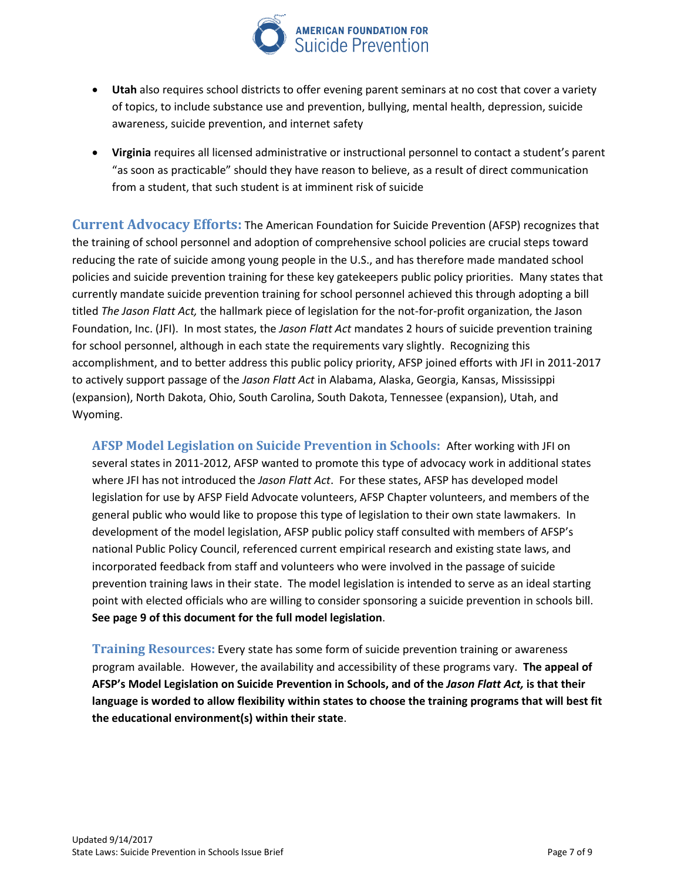

- **Utah** also requires school districts to offer evening parent seminars at no cost that cover a variety of topics, to include substance use and prevention, bullying, mental health, depression, suicide awareness, suicide prevention, and internet safety
- **Virginia** requires all licensed administrative or instructional personnel to contact a student's parent "as soon as practicable" should they have reason to believe, as a result of direct communication from a student, that such student is at imminent risk of suicide

**Current Advocacy Efforts:** The American Foundation for Suicide Prevention (AFSP) recognizes that the training of school personnel and adoption of comprehensive school policies are crucial steps toward reducing the rate of suicide among young people in the U.S., and has therefore made mandated school policies and suicide prevention training for these key gatekeepers public policy priorities. Many states that currently mandate suicide prevention training for school personnel achieved this through adopting a bill titled *The Jason Flatt Act,* the hallmark piece of legislation for the not-for-profit organization, the Jason Foundation, Inc. (JFI). In most states, the *Jason Flatt Act* mandates 2 hours of suicide prevention training for school personnel, although in each state the requirements vary slightly. Recognizing this accomplishment, and to better address this public policy priority, AFSP joined efforts with JFI in 2011-2017 to actively support passage of the *Jason Flatt Act* in Alabama, Alaska, Georgia, Kansas, Mississippi (expansion), North Dakota, Ohio, South Carolina, South Dakota, Tennessee (expansion), Utah, and Wyoming.

**AFSP Model Legislation on Suicide Prevention in Schools:** After working with JFI on several states in 2011-2012, AFSP wanted to promote this type of advocacy work in additional states where JFI has not introduced the *Jason Flatt Act*. For these states, AFSP has developed model legislation for use by AFSP Field Advocate volunteers, AFSP Chapter volunteers, and members of the general public who would like to propose this type of legislation to their own state lawmakers. In development of the model legislation, AFSP public policy staff consulted with members of AFSP's national Public Policy Council, referenced current empirical research and existing state laws, and incorporated feedback from staff and volunteers who were involved in the passage of suicide prevention training laws in their state. The model legislation is intended to serve as an ideal starting point with elected officials who are willing to consider sponsoring a suicide prevention in schools bill. **See page 9 of this document for the full model legislation**.

**Training Resources:** Every state has some form of suicide prevention training or awareness program available. However, the availability and accessibility of these programs vary. **The appeal of AFSP's Model Legislation on Suicide Prevention in Schools, and of the** *Jason Flatt Act,* **is that their language is worded to allow flexibility within states to choose the training programs that will best fit the educational environment(s) within their state**.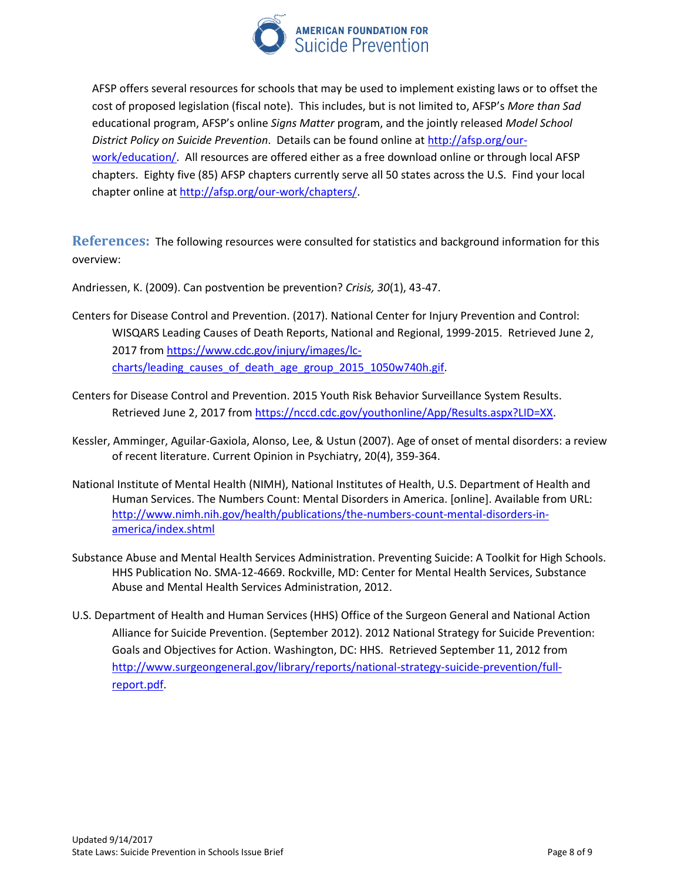

AFSP offers several resources for schools that may be used to implement existing laws or to offset the cost of proposed legislation (fiscal note). This includes, but is not limited to, AFSP's *More than Sad* educational program, AFSP's online *Signs Matter* program, and the jointly released *Model School District Policy on Suicide Prevention*. Details can be found online a[t http://afsp.org/our](http://afsp.org/our-work/education/)[work/education/.](http://afsp.org/our-work/education/) All resources are offered either as a free download online or through local AFSP chapters. Eighty five (85) AFSP chapters currently serve all 50 states across the U.S. Find your local chapter online a[t http://afsp.org/our-work/chapters/.](http://afsp.org/our-work/chapters/)

**References:** The following resources were consulted for statistics and background information for this overview:

Andriessen, K. (2009). Can postvention be prevention? *Crisis, 30*(1), 43-47.

- Centers for Disease Control and Prevention. (2017). National Center for Injury Prevention and Control: WISQARS Leading Causes of Death Reports, National and Regional, 1999-2015. Retrieved June 2, 2017 from [https://www.cdc.gov/injury/images/lc](https://www.cdc.gov/injury/images/lc-charts/leading_causes_of_death_age_group_2015_1050w740h.gif)charts/leading causes of death age group 2015 1050w740h.gif.
- Centers for Disease Control and Prevention. 2015 Youth Risk Behavior Surveillance System Results. Retrieved June 2, 2017 from [https://nccd.cdc.gov/youthonline/App/Results.aspx?LID=XX.](https://nccd.cdc.gov/youthonline/App/Results.aspx?LID=XX)
- Kessler, Amminger, Aguilar-Gaxiola, Alonso, Lee, & Ustun (2007). Age of onset of mental disorders: a review of recent literature. Current Opinion in Psychiatry, 20(4), 359-364.
- National Institute of Mental Health (NIMH), National Institutes of Health, U.S. Department of Health and Human Services. The Numbers Count: Mental Disorders in America. [online]. Available from URL: [http://www.nimh.nih.gov/health/publications/the-numbers-count-mental-disorders-in](http://www.nimh.nih.gov/health/publications/the-numbers-count-mental-disorders-in-america/index.shtml)[america/index.shtml](http://www.nimh.nih.gov/health/publications/the-numbers-count-mental-disorders-in-america/index.shtml)
- Substance Abuse and Mental Health Services Administration. Preventing Suicide: A Toolkit for High Schools. HHS Publication No. SMA-12-4669. Rockville, MD: Center for Mental Health Services, Substance Abuse and Mental Health Services Administration, 2012.
- U.S. Department of Health and Human Services (HHS) Office of the Surgeon General and National Action Alliance for Suicide Prevention. (September 2012). 2012 National Strategy for Suicide Prevention: Goals and Objectives for Action. Washington, DC: HHS. Retrieved September 11, 2012 from [http://www.surgeongeneral.gov/library/reports/national-strategy-suicide-prevention/full](http://www.surgeongeneral.gov/library/reports/national-strategy-suicide-prevention/full-report.pdf)[report.pdf.](http://www.surgeongeneral.gov/library/reports/national-strategy-suicide-prevention/full-report.pdf)